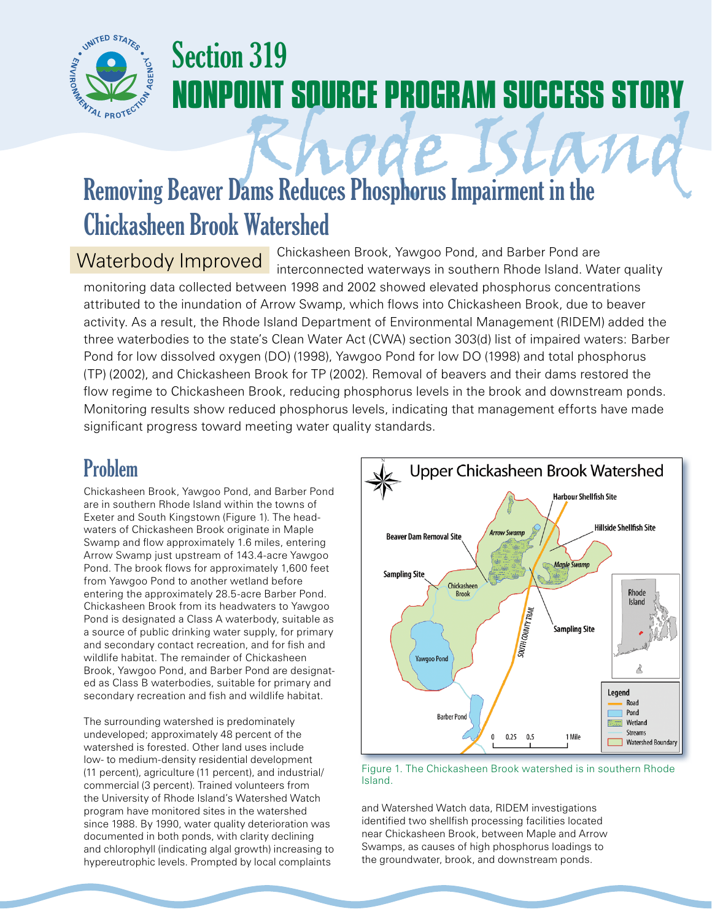

## Section 319 **NONPOINT SOURCE PROGRAM SUCCESS STORY**

# Removing Beaver Dams Reduces Phosphorus Impairment in the Chickasheen Brook Watershed

Chickasheen Brook, Yawgoo Pond, and Barber Pond are interconnected waterways in southern Rhode Island. Water quality monitoring data collected between 1998 and 2002 showed elevated phosphorus concentrations Waterbody Improved

attributed to the inundation of Arrow Swamp, which flows into Chickasheen Brook, due to beaver activity. As a result, the Rhode Island Department of Environmental Management (RIDEM) added the three waterbodies to the state's Clean Water Act (CWA) section 303(d) list of impaired waters: Barber Pond for low dissolved oxygen (DO) (1998), Yawgoo Pond for low DO (1998) and total phosphorus (TP) (2002), and Chickasheen Brook for TP (2002). Removal of beavers and their dams restored the flow regime to Chickasheen Brook, reducing phosphorus levels in the brook and downstream ponds. Monitoring results show reduced phosphorus levels, indicating that management efforts have made significant progress toward meeting water quality standards.

## Problem

Chickasheen Brook, Yawgoo Pond, and Barber Pond are in southern Rhode Island within the towns of Exeter and South Kingstown (Figure 1). The headwaters of Chickasheen Brook originate in Maple Swamp and flow approximately 1.6 miles, entering Arrow Swamp just upstream of 143.4-acre Yawgoo Pond. The brook flows for approximately 1,600 feet from Yawgoo Pond to another wetland before entering the approximately 28.5-acre Barber Pond. Chickasheen Brook from its headwaters to Yawgoo Pond is designated a Class A waterbody, suitable as a source of public drinking water supply, for primary and secondary contact recreation, and for fish and wildlife habitat. The remainder of Chickasheen Brook, Yawgoo Pond, and Barber Pond are designated as Class B waterbodies, suitable for primary and secondary recreation and fish and wildlife habitat.

The surrounding watershed is predominately undeveloped; approximately 48 percent of the watershed is forested. Other land uses include low- to medium-density residential development (11 percent), agriculture (11 percent), and industrial/ commercial (3 percent). Trained volunteers from the University of Rhode Island's Watershed Watch program have monitored sites in the watershed since 1988. By 1990, water quality deterioration was documented in both ponds, with clarity declining and chlorophyll (indicating algal growth) increasing to hypereutrophic levels. Prompted by local complaints



#### Figure 1. The Chickasheen Brook watershed is in southern Rhode Island.

and Watershed Watch data, RIDEM investigations identified two shellfish processing facilities located near Chickasheen Brook, between Maple and Arrow Swamps, as causes of high phosphorus loadings to the groundwater, brook, and downstream ponds.